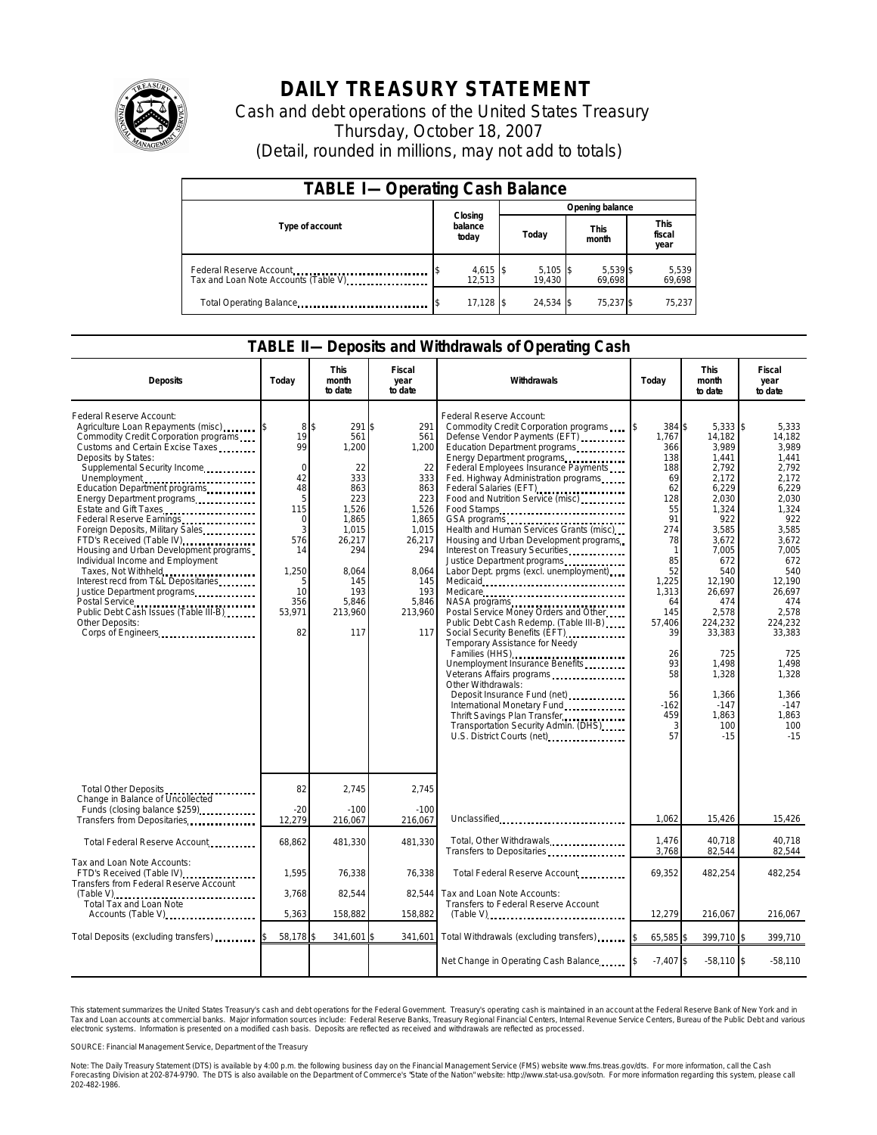

## **DAILY TREASURY STATEMENT**

Cash and debt operations of the United States Treasury Thursday, October 18, 2007 (Detail, rounded in millions, may not add to totals)

| <b>TABLE I-Operating Cash Balance</b> |                             |                      |       |                      |                      |                    |                               |                 |  |
|---------------------------------------|-----------------------------|----------------------|-------|----------------------|----------------------|--------------------|-------------------------------|-----------------|--|
|                                       |                             |                      |       | Opening balance      |                      |                    |                               |                 |  |
| Type of account                       | Closing<br>balance<br>today |                      | Today |                      | <b>This</b><br>month |                    | <b>This</b><br>fiscal<br>year |                 |  |
| Tax and Loan Note Accounts (Table V)  |                             | $4,615$ \$<br>12,513 |       | $5,105$ \$<br>19.430 |                      | 5,539 \$<br>69,698 |                               | 5,539<br>69,698 |  |
| Total Operating Balance               |                             | $17,128$ \$          |       | 24.534 \$            |                      | 75.237 \$          |                               | 75,237          |  |

## **TABLE II—Deposits and Withdrawals of Operating Cash**

| <b>Deposits</b>                                                                                                                                                                                                                                                                                                                                                                                                                                                                                                                                                                                                                                                      | Today                                                                                                               | This<br>month<br>to date                                                                                                                           | Fiscal<br>year<br>to date                                                                                                                           | <b>Withdrawals</b>                                                                                                                                                                                                                                                                                                                                                                                                                                                                                                                                                                                                                                                                                                                                                                                                                                                                                                                                                                                                                                                                                                                                 | Today                                                                                                                                                                                                           | <b>This</b><br>month<br>to date                                                                                                                                                                                                                                   | Fiscal<br>year<br>to date                                                                                                                                                                                                                                    |
|----------------------------------------------------------------------------------------------------------------------------------------------------------------------------------------------------------------------------------------------------------------------------------------------------------------------------------------------------------------------------------------------------------------------------------------------------------------------------------------------------------------------------------------------------------------------------------------------------------------------------------------------------------------------|---------------------------------------------------------------------------------------------------------------------|----------------------------------------------------------------------------------------------------------------------------------------------------|-----------------------------------------------------------------------------------------------------------------------------------------------------|----------------------------------------------------------------------------------------------------------------------------------------------------------------------------------------------------------------------------------------------------------------------------------------------------------------------------------------------------------------------------------------------------------------------------------------------------------------------------------------------------------------------------------------------------------------------------------------------------------------------------------------------------------------------------------------------------------------------------------------------------------------------------------------------------------------------------------------------------------------------------------------------------------------------------------------------------------------------------------------------------------------------------------------------------------------------------------------------------------------------------------------------------|-----------------------------------------------------------------------------------------------------------------------------------------------------------------------------------------------------------------|-------------------------------------------------------------------------------------------------------------------------------------------------------------------------------------------------------------------------------------------------------------------|--------------------------------------------------------------------------------------------------------------------------------------------------------------------------------------------------------------------------------------------------------------|
| Federal Reserve Account:<br>Agriculture Loan Repayments (misc)<br>Commodity Credit Corporation programs<br>Customs and Certain Excise Taxes<br>Deposits by States:<br>Supplemental Security Income<br>Unemployment<br>Education Department programs<br>Energy Department programs<br>Estate and Gift Taxes<br>Federal Reserve Earnings<br>Foreign Deposits, Military Sales<br>FTD's Received (Table IV)<br>Housing and Urban Development programs<br>Individual Income and Employment<br>Taxes, Not Withheld<br>Interest recd from T&L Depositaries<br>Justice Department programs<br>Public Debt Cash Issues (Table III-B)<br>Other Deposits:<br>Corps of Engineers | 8<br>19<br>99<br>$\Omega$<br>42<br>48<br>5<br>115<br>0<br>3<br>576<br>14<br>1,250<br>5<br>10<br>356<br>53,971<br>82 | ß.<br>291<br>561<br>1,200<br>22<br>333<br>863<br>223<br>1.526<br>1,865<br>1,015<br>26,217<br>294<br>8,064<br>145<br>193<br>5,846<br>213,960<br>117 | 291<br>\$.<br>561<br>1,200<br>22<br>333<br>863<br>223<br>1.526<br>1,865<br>1,015<br>26,217<br>294<br>8,064<br>145<br>193<br>5,846<br>213,960<br>117 | Federal Reserve Account:<br>Commodity Credit Corporation programs<br>Defense Vendor Payments (EFT)<br>Education Department programs<br>Energy Department programs<br>Federal Employees Insurance Payments<br>Fed. Highway Administration programs<br>Federal Salaries (EFT)<br>1999: 1999: 1999: 1999: 1999: 1999: 1999: 1999: 1999: 1999: 1999: 1999: 1999: 1999: 1999: 1999: 1999: 1999: 1999: 1999: 1999: 1999: 1999: 1999: 1999: 1999: 1999: 1999: 1999: 1999: 1999: 1999: 1999:<br>Food and Nutrition Service (misc)<br>Food Stamps<br>Health and Human Services Grants (misc)<br>Housing and Urban Development programs<br>Interest on Treasury Securities<br>Labor Dept. prgms (excl. unemployment)<br>Medicare<br>NASA programs<br>Postal Service Money Orders and Other<br>Public Debt Cash Redemp. (Table III-B)<br>Social Security Benefits (EFT)<br>Temporary Assistance for Needy<br>Families (HHS)<br>Unemployment Insurance Benefits<br>Other Withdrawals:<br>Deposit Insurance Fund (net)<br><br>International Monetary Fund<br>Thrift Savings Plan Transfer<br>Transportation Security Admin. (DHS)<br>U.S. District Courts (net) | 384 \$<br>1,767<br>366<br>138<br>188<br>69<br>62<br>128<br>55<br>91<br>274<br>78<br>$\mathbf{1}$<br>85<br>52<br>1,225<br>1,313<br>64<br>145<br>57,406<br>39<br>26<br>93<br>58<br>56<br>$-162$<br>459<br>3<br>57 | $5,333$ \$<br>14.182<br>3,989<br>1,441<br>2.792<br>2,172<br>6,229<br>2,030<br>1.324<br>922<br>3,585<br>3,672<br>7,005<br>672<br>540<br>12.190<br>26,697<br>474<br>2,578<br>224,232<br>33,383<br>725<br>1,498<br>1,328<br>1,366<br>$-147$<br>1.863<br>100<br>$-15$ | 5,333<br>14.182<br>3,989<br>1.441<br>2.792<br>2,172<br>6,229<br>2,030<br>1.324<br>922<br>3,585<br>3,672<br>7,005<br>672<br>540<br>12.190<br>26.697<br>474<br>2.578<br>224,232<br>33,383<br>725<br>1,498<br>1,328<br>1,366<br>$-147$<br>1.863<br>100<br>$-15$ |
| Total Other Deposits<br>Change in Balance of Uncollected<br>Funds (closing balance \$259)                                                                                                                                                                                                                                                                                                                                                                                                                                                                                                                                                                            | 82<br>$-20$                                                                                                         | 2,745<br>$-100$                                                                                                                                    | 2,745<br>$-100$                                                                                                                                     |                                                                                                                                                                                                                                                                                                                                                                                                                                                                                                                                                                                                                                                                                                                                                                                                                                                                                                                                                                                                                                                                                                                                                    | 1.062                                                                                                                                                                                                           | 15,426                                                                                                                                                                                                                                                            |                                                                                                                                                                                                                                                              |
| Transfers from Depositaries<br>Total Federal Reserve Account                                                                                                                                                                                                                                                                                                                                                                                                                                                                                                                                                                                                         | 12,279<br>68,862                                                                                                    | 216,067<br>481,330                                                                                                                                 | 216,067<br>481,330                                                                                                                                  | Unclassified<br>Total, Other Withdrawals                                                                                                                                                                                                                                                                                                                                                                                                                                                                                                                                                                                                                                                                                                                                                                                                                                                                                                                                                                                                                                                                                                           | 1.476                                                                                                                                                                                                           | 40.718                                                                                                                                                                                                                                                            | 15,426<br>40.718                                                                                                                                                                                                                                             |
| Tax and Loan Note Accounts:<br>FTD's Received (Table IV)<br>Transfers from Federal Reserve Account<br>$(Table V), \ldots, \ldots, \ldots, \ldots, \ldots, \ldots, \ldots, \ldots$                                                                                                                                                                                                                                                                                                                                                                                                                                                                                    | 1.595<br>3,768                                                                                                      | 76,338<br>82,544                                                                                                                                   | 76,338<br>82,544                                                                                                                                    | Transfers to Depositaries<br>Total Federal Reserve Account<br>Tax and Loan Note Accounts:<br>Transfers to Federal Reserve Account                                                                                                                                                                                                                                                                                                                                                                                                                                                                                                                                                                                                                                                                                                                                                                                                                                                                                                                                                                                                                  | 3,768<br>69,352                                                                                                                                                                                                 | 82,544<br>482,254                                                                                                                                                                                                                                                 | 82,544<br>482.254                                                                                                                                                                                                                                            |
| Total Tax and Loan Note<br>Accounts (Table V)                                                                                                                                                                                                                                                                                                                                                                                                                                                                                                                                                                                                                        | 5,363                                                                                                               | 158,882                                                                                                                                            | 158,882                                                                                                                                             | $(Table V)$                                                                                                                                                                                                                                                                                                                                                                                                                                                                                                                                                                                                                                                                                                                                                                                                                                                                                                                                                                                                                                                                                                                                        | 12,279                                                                                                                                                                                                          | 216,067                                                                                                                                                                                                                                                           | 216,067                                                                                                                                                                                                                                                      |
| Total Deposits (excluding transfers)                                                                                                                                                                                                                                                                                                                                                                                                                                                                                                                                                                                                                                 | 58,178                                                                                                              | 341,601                                                                                                                                            | 341,601                                                                                                                                             | Total Withdrawals (excluding transfers) [8]                                                                                                                                                                                                                                                                                                                                                                                                                                                                                                                                                                                                                                                                                                                                                                                                                                                                                                                                                                                                                                                                                                        | 65,585 \$                                                                                                                                                                                                       | 399.710 \$                                                                                                                                                                                                                                                        | 399,710                                                                                                                                                                                                                                                      |
|                                                                                                                                                                                                                                                                                                                                                                                                                                                                                                                                                                                                                                                                      |                                                                                                                     |                                                                                                                                                    |                                                                                                                                                     | Net Change in Operating Cash Balance                                                                                                                                                                                                                                                                                                                                                                                                                                                                                                                                                                                                                                                                                                                                                                                                                                                                                                                                                                                                                                                                                                               | $-7,407$ \$                                                                                                                                                                                                     | $-58,110$ \$                                                                                                                                                                                                                                                      | $-58,110$                                                                                                                                                                                                                                                    |

This statement summarizes the United States Treasury's cash and debt operations for the Federal Government. Treasury's operating cash is maintained<br>Tax and Loan accounts at commercial banks. Major information sources inclu narizes the United States Treasury's cash and debt operations for the Federal Government. Treasury's operating cash is maintained in an account at the Federal Reserve Bank of New York and in<br>ints at commercial banks. Major

SOURCE: Financial Management Service, Department of the Treasury

Note: The Daily Treasury Statement (DTS) is available by 4:00 p.m. the following business day on the Financial Management Service (FMS) website www.fms.treas.gov/dts. For more information, call the Cash<br>Forecasting Divisio 202-482-1986.